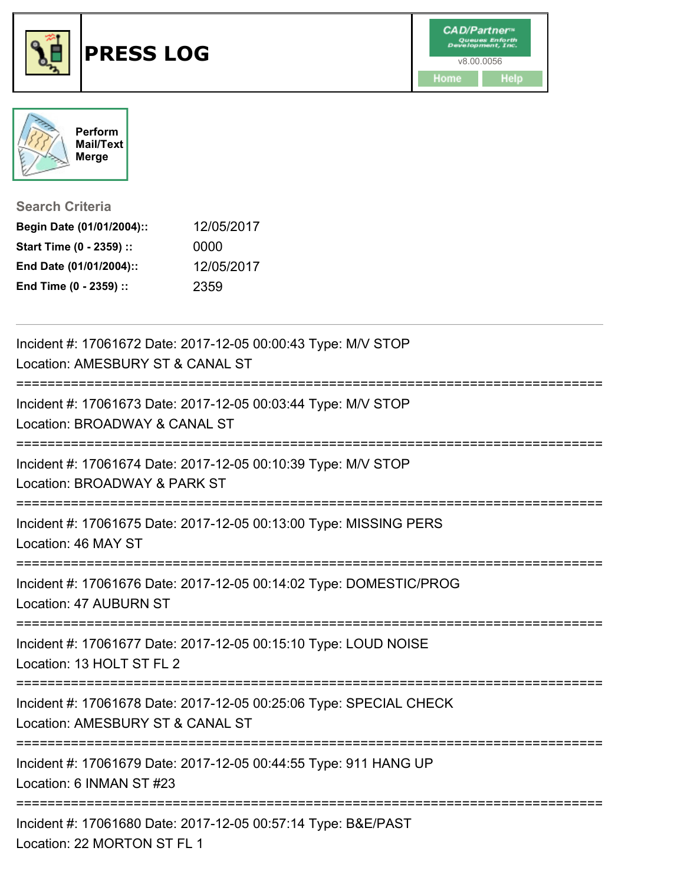



**Search Criteria**

| Begin Date (01/01/2004):: | 12/05/2017 |
|---------------------------|------------|
| Start Time (0 - 2359) ::  | 0000       |
| End Date (01/01/2004)::   | 12/05/2017 |
| End Time (0 - 2359) ::    | 2359       |

| Incident #: 17061672 Date: 2017-12-05 00:00:43 Type: M/V STOP<br>Location: AMESBURY ST & CANAL ST                       |
|-------------------------------------------------------------------------------------------------------------------------|
| Incident #: 17061673 Date: 2017-12-05 00:03:44 Type: M/V STOP<br>Location: BROADWAY & CANAL ST                          |
| Incident #: 17061674 Date: 2017-12-05 00:10:39 Type: M/V STOP<br>Location: BROADWAY & PARK ST                           |
| Incident #: 17061675 Date: 2017-12-05 00:13:00 Type: MISSING PERS<br>Location: 46 MAY ST                                |
| Incident #: 17061676 Date: 2017-12-05 00:14:02 Type: DOMESTIC/PROG<br>Location: 47 AUBURN ST                            |
| Incident #: 17061677 Date: 2017-12-05 00:15:10 Type: LOUD NOISE<br>Location: 13 HOLT ST FL 2                            |
| Incident #: 17061678 Date: 2017-12-05 00:25:06 Type: SPECIAL CHECK<br>Location: AMESBURY ST & CANAL ST                  |
| :======================<br>Incident #: 17061679 Date: 2017-12-05 00:44:55 Type: 911 HANG UP<br>Location: 6 INMAN ST #23 |
| Incident #: 17061680 Date: 2017-12-05 00:57:14 Type: B&E/PAST<br>Location: 22 MORTON ST FL 1                            |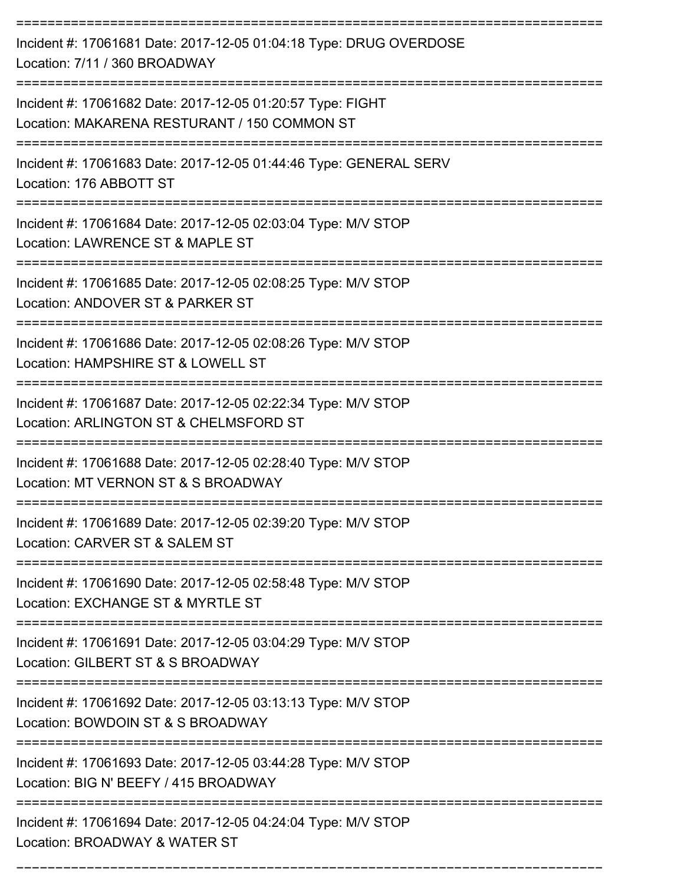| Incident #: 17061681 Date: 2017-12-05 01:04:18 Type: DRUG OVERDOSE<br>Location: 7/11 / 360 BROADWAY                                   |
|---------------------------------------------------------------------------------------------------------------------------------------|
| Incident #: 17061682 Date: 2017-12-05 01:20:57 Type: FIGHT<br>Location: MAKARENA RESTURANT / 150 COMMON ST                            |
| Incident #: 17061683 Date: 2017-12-05 01:44:46 Type: GENERAL SERV<br>Location: 176 ABBOTT ST<br>-----------------                     |
| Incident #: 17061684 Date: 2017-12-05 02:03:04 Type: M/V STOP<br>Location: LAWRENCE ST & MAPLE ST                                     |
| Incident #: 17061685 Date: 2017-12-05 02:08:25 Type: M/V STOP<br>Location: ANDOVER ST & PARKER ST                                     |
| Incident #: 17061686 Date: 2017-12-05 02:08:26 Type: M/V STOP<br>Location: HAMPSHIRE ST & LOWELL ST                                   |
| Incident #: 17061687 Date: 2017-12-05 02:22:34 Type: M/V STOP<br>Location: ARLINGTON ST & CHELMSFORD ST                               |
| Incident #: 17061688 Date: 2017-12-05 02:28:40 Type: M/V STOP<br>Location: MT VERNON ST & S BROADWAY                                  |
| Incident #: 17061689 Date: 2017-12-05 02:39:20 Type: M/V STOP<br>Location: CARVER ST & SALEM ST<br>---------------------------------- |
| Incident #: 17061690 Date: 2017-12-05 02:58:48 Type: M/V STOP<br>Location: EXCHANGE ST & MYRTLE ST                                    |
| ===========================<br>Incident #: 17061691 Date: 2017-12-05 03:04:29 Type: M/V STOP<br>Location: GILBERT ST & S BROADWAY     |
| Incident #: 17061692 Date: 2017-12-05 03:13:13 Type: M/V STOP<br>Location: BOWDOIN ST & S BROADWAY                                    |
| Incident #: 17061693 Date: 2017-12-05 03:44:28 Type: M/V STOP<br>Location: BIG N' BEEFY / 415 BROADWAY                                |
| -------------------------------<br>Incident #: 17061694 Date: 2017-12-05 04:24:04 Type: M/V STOP<br>Location: BROADWAY & WATER ST     |

===========================================================================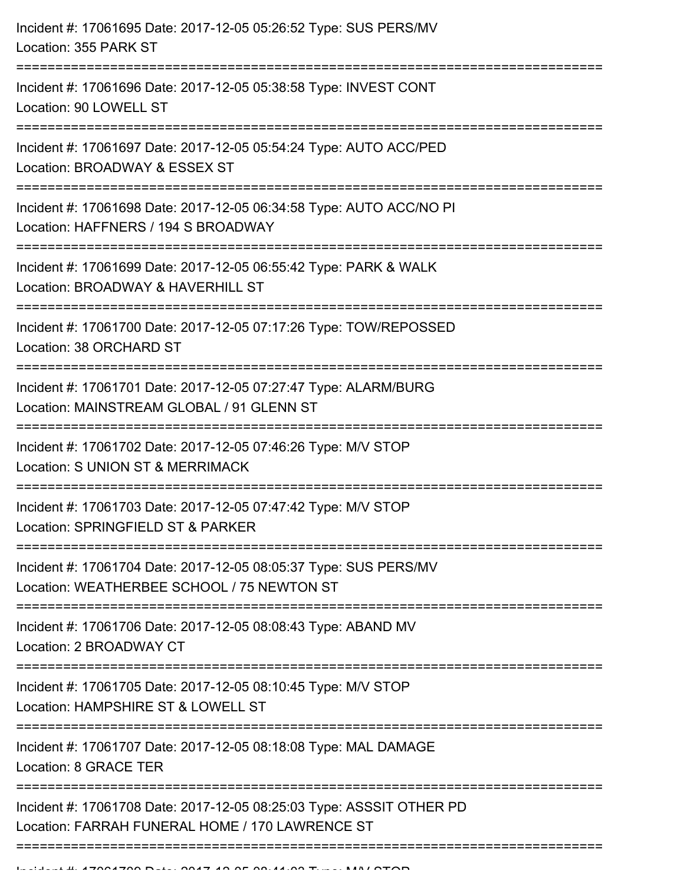| Incident #: 17061695 Date: 2017-12-05 05:26:52 Type: SUS PERS/MV<br>Location: 355 PARK ST                                                         |
|---------------------------------------------------------------------------------------------------------------------------------------------------|
| Incident #: 17061696 Date: 2017-12-05 05:38:58 Type: INVEST CONT<br>Location: 90 LOWELL ST                                                        |
| Incident #: 17061697 Date: 2017-12-05 05:54:24 Type: AUTO ACC/PED<br>Location: BROADWAY & ESSEX ST<br>------------------------<br>-----------     |
| Incident #: 17061698 Date: 2017-12-05 06:34:58 Type: AUTO ACC/NO PI<br>Location: HAFFNERS / 194 S BROADWAY<br>=================================== |
| Incident #: 17061699 Date: 2017-12-05 06:55:42 Type: PARK & WALK<br>Location: BROADWAY & HAVERHILL ST                                             |
| Incident #: 17061700 Date: 2017-12-05 07:17:26 Type: TOW/REPOSSED<br>Location: 38 ORCHARD ST<br>==============================                    |
| Incident #: 17061701 Date: 2017-12-05 07:27:47 Type: ALARM/BURG<br>Location: MAINSTREAM GLOBAL / 91 GLENN ST                                      |
| Incident #: 17061702 Date: 2017-12-05 07:46:26 Type: M/V STOP<br>Location: S UNION ST & MERRIMACK                                                 |
| Incident #: 17061703 Date: 2017-12-05 07:47:42 Type: M/V STOP<br>Location: SPRINGFIELD ST & PARKER                                                |
| Incident #: 17061704 Date: 2017-12-05 08:05:37 Type: SUS PERS/MV<br>Location: WEATHERBEE SCHOOL / 75 NEWTON ST                                    |
| Incident #: 17061706 Date: 2017-12-05 08:08:43 Type: ABAND MV<br>Location: 2 BROADWAY CT                                                          |
| Incident #: 17061705 Date: 2017-12-05 08:10:45 Type: M/V STOP<br>Location: HAMPSHIRE ST & LOWELL ST                                               |
| Incident #: 17061707 Date: 2017-12-05 08:18:08 Type: MAL DAMAGE<br>Location: 8 GRACE TER                                                          |
| ---------------<br>Incident #: 17061708 Date: 2017-12-05 08:25:03 Type: ASSSIT OTHER PD<br>Location: FARRAH FUNERAL HOME / 170 LAWRENCE ST        |
|                                                                                                                                                   |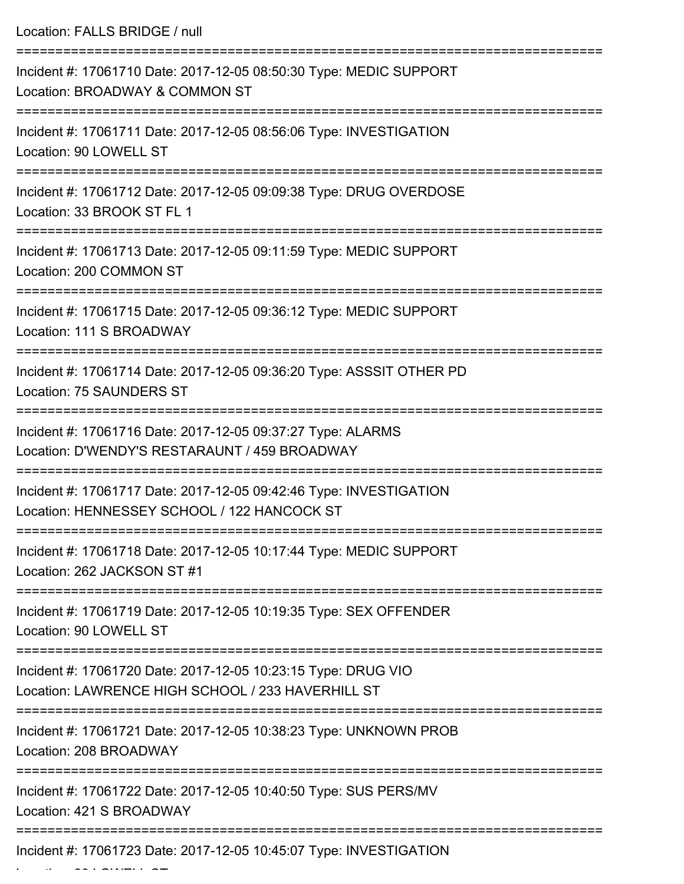Location: FALLS BRIDGE / null =========================================================================== Incident #: 17061710 Date: 2017-12-05 08:50:30 Type: MEDIC SUPPORT Location: BROADWAY & COMMON ST =========================================================================== Incident #: 17061711 Date: 2017-12-05 08:56:06 Type: INVESTIGATION Location: 90 LOWELL ST =========================================================================== Incident #: 17061712 Date: 2017-12-05 09:09:38 Type: DRUG OVERDOSE Location: 33 BROOK ST FL 1 =========================================================================== Incident #: 17061713 Date: 2017-12-05 09:11:59 Type: MEDIC SUPPORT Location: 200 COMMON ST =========================================================================== Incident #: 17061715 Date: 2017-12-05 09:36:12 Type: MEDIC SUPPORT Location: 111 S BROADWAY =========================================================================== Incident #: 17061714 Date: 2017-12-05 09:36:20 Type: ASSSIT OTHER PD Location: 75 SAUNDERS ST =========================================================================== Incident #: 17061716 Date: 2017-12-05 09:37:27 Type: ALARMS Location: D'WENDY'S RESTARAUNT / 459 BROADWAY =========================================================================== Incident #: 17061717 Date: 2017-12-05 09:42:46 Type: INVESTIGATION Location: HENNESSEY SCHOOL / 122 HANCOCK ST =========================================================================== Incident #: 17061718 Date: 2017-12-05 10:17:44 Type: MEDIC SUPPORT Location: 262 JACKSON ST #1 =========================================================================== Incident #: 17061719 Date: 2017-12-05 10:19:35 Type: SEX OFFENDER Location: 90 LOWELL ST =========================================================================== Incident #: 17061720 Date: 2017-12-05 10:23:15 Type: DRUG VIO Location: LAWRENCE HIGH SCHOOL / 233 HAVERHILL ST =========================================================================== Incident #: 17061721 Date: 2017-12-05 10:38:23 Type: UNKNOWN PROB Location: 208 BROADWAY =========================================================================== Incident #: 17061722 Date: 2017-12-05 10:40:50 Type: SUS PERS/MV Location: 421 S BROADWAY ===========================================================================

Incident #: 17061723 Date: 2017-12-05 10:45:07 Type: INVESTIGATION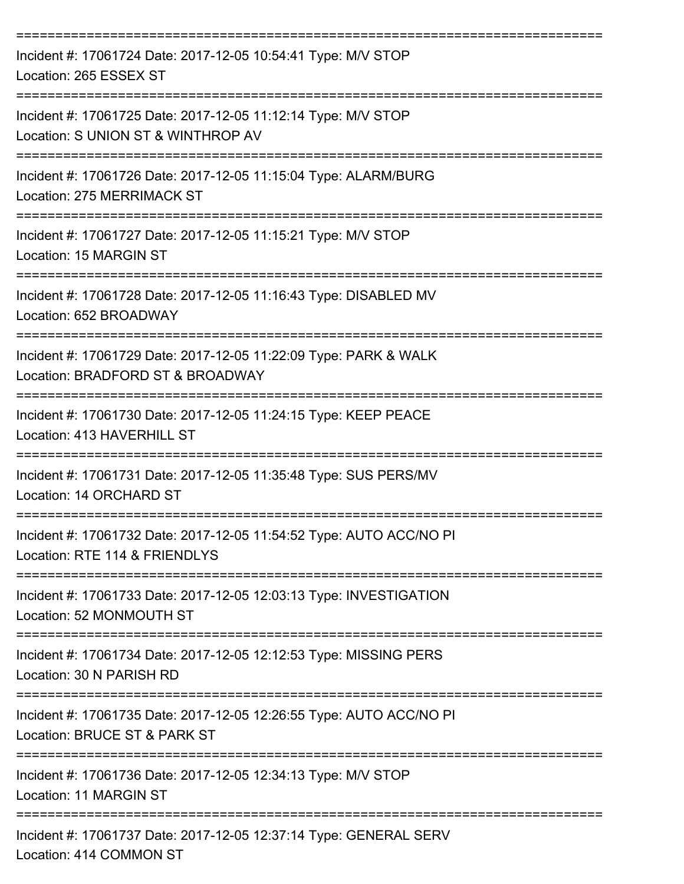| Incident #: 17061724 Date: 2017-12-05 10:54:41 Type: M/V STOP<br>Location: 265 ESSEX ST                                       |
|-------------------------------------------------------------------------------------------------------------------------------|
| Incident #: 17061725 Date: 2017-12-05 11:12:14 Type: M/V STOP<br>Location: S UNION ST & WINTHROP AV                           |
| Incident #: 17061726 Date: 2017-12-05 11:15:04 Type: ALARM/BURG<br>Location: 275 MERRIMACK ST                                 |
| Incident #: 17061727 Date: 2017-12-05 11:15:21 Type: M/V STOP<br>Location: 15 MARGIN ST                                       |
| Incident #: 17061728 Date: 2017-12-05 11:16:43 Type: DISABLED MV<br>Location: 652 BROADWAY                                    |
| Incident #: 17061729 Date: 2017-12-05 11:22:09 Type: PARK & WALK<br>Location: BRADFORD ST & BROADWAY                          |
| Incident #: 17061730 Date: 2017-12-05 11:24:15 Type: KEEP PEACE<br>Location: 413 HAVERHILL ST                                 |
| Incident #: 17061731 Date: 2017-12-05 11:35:48 Type: SUS PERS/MV<br>Location: 14 ORCHARD ST                                   |
| Incident #: 17061732 Date: 2017-12-05 11:54:52 Type: AUTO ACC/NO PI<br>Location: RTE 114 & FRIENDLYS                          |
| ===========================<br>Incident #: 17061733 Date: 2017-12-05 12:03:13 Type: INVESTIGATION<br>Location: 52 MONMOUTH ST |
| Incident #: 17061734 Date: 2017-12-05 12:12:53 Type: MISSING PERS<br>Location: 30 N PARISH RD                                 |
| Incident #: 17061735 Date: 2017-12-05 12:26:55 Type: AUTO ACC/NO PI<br>Location: BRUCE ST & PARK ST                           |
| Incident #: 17061736 Date: 2017-12-05 12:34:13 Type: M/V STOP<br>Location: 11 MARGIN ST                                       |
| Incident #: 17061737 Date: 2017-12-05 12:37:14 Type: GENERAL SERV<br>Location: 414 COMMON ST                                  |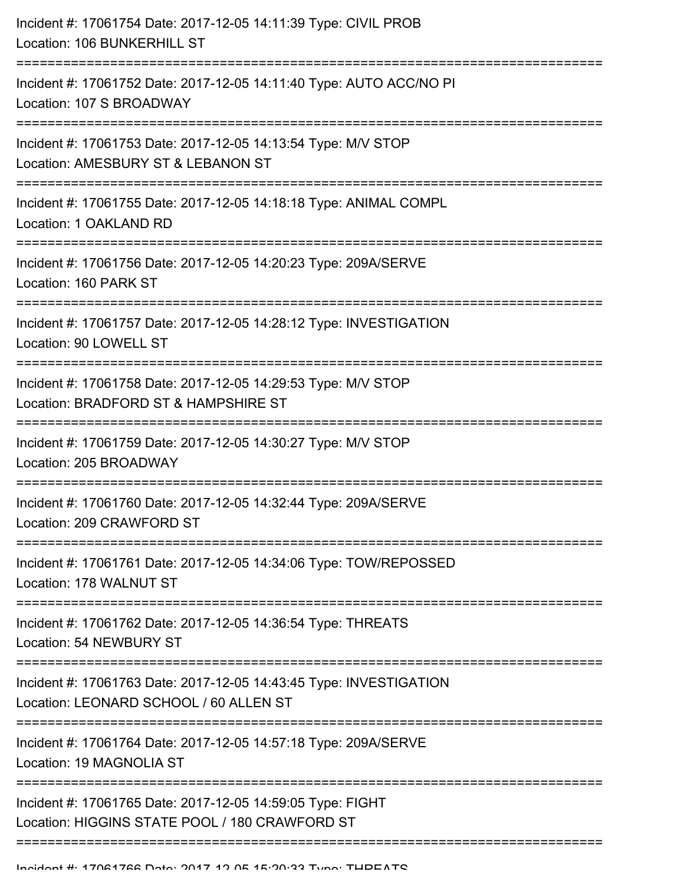| Incident #: 17061754 Date: 2017-12-05 14:11:39 Type: CIVIL PROB<br>Location: 106 BUNKERHILL ST               |
|--------------------------------------------------------------------------------------------------------------|
| Incident #: 17061752 Date: 2017-12-05 14:11:40 Type: AUTO ACC/NO PI<br>Location: 107 S BROADWAY              |
| Incident #: 17061753 Date: 2017-12-05 14:13:54 Type: M/V STOP<br>Location: AMESBURY ST & LEBANON ST          |
| Incident #: 17061755 Date: 2017-12-05 14:18:18 Type: ANIMAL COMPL<br>Location: 1 OAKLAND RD                  |
| Incident #: 17061756 Date: 2017-12-05 14:20:23 Type: 209A/SERVE<br>Location: 160 PARK ST                     |
| Incident #: 17061757 Date: 2017-12-05 14:28:12 Type: INVESTIGATION<br>Location: 90 LOWELL ST                 |
| Incident #: 17061758 Date: 2017-12-05 14:29:53 Type: M/V STOP<br>Location: BRADFORD ST & HAMPSHIRE ST        |
| Incident #: 17061759 Date: 2017-12-05 14:30:27 Type: M/V STOP<br>Location: 205 BROADWAY                      |
| Incident #: 17061760 Date: 2017-12-05 14:32:44 Type: 209A/SERVE<br>Location: 209 CRAWFORD ST                 |
| Incident #: 17061761 Date: 2017-12-05 14:34:06 Type: TOW/REPOSSED<br>Location: 178 WALNUT ST                 |
| Incident #: 17061762 Date: 2017-12-05 14:36:54 Type: THREATS<br>Location: 54 NEWBURY ST                      |
| Incident #: 17061763 Date: 2017-12-05 14:43:45 Type: INVESTIGATION<br>Location: LEONARD SCHOOL / 60 ALLEN ST |
| Incident #: 17061764 Date: 2017-12-05 14:57:18 Type: 209A/SERVE<br>Location: 19 MAGNOLIA ST                  |
| Incident #: 17061765 Date: 2017-12-05 14:59:05 Type: FIGHT<br>Location: HIGGINS STATE POOL / 180 CRAWFORD ST |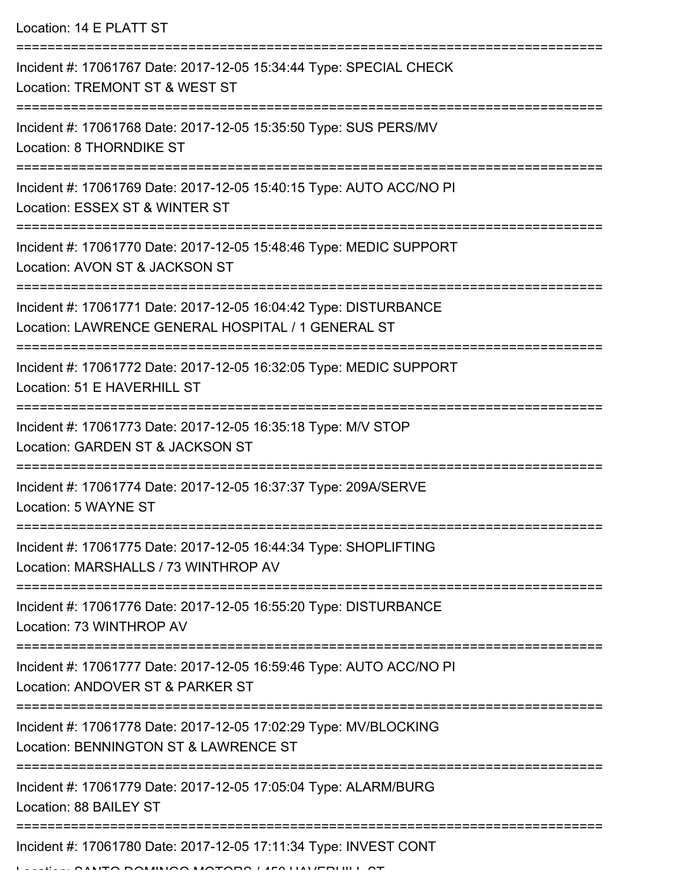Location: 14 E PLATT ST

| Incident #: 17061767 Date: 2017-12-05 15:34:44 Type: SPECIAL CHECK<br>Location: TREMONT ST & WEST ST                           |
|--------------------------------------------------------------------------------------------------------------------------------|
| Incident #: 17061768 Date: 2017-12-05 15:35:50 Type: SUS PERS/MV<br>Location: 8 THORNDIKE ST                                   |
| Incident #: 17061769 Date: 2017-12-05 15:40:15 Type: AUTO ACC/NO PI<br>Location: ESSEX ST & WINTER ST                          |
| Incident #: 17061770 Date: 2017-12-05 15:48:46 Type: MEDIC SUPPORT<br>Location: AVON ST & JACKSON ST                           |
| Incident #: 17061771 Date: 2017-12-05 16:04:42 Type: DISTURBANCE<br>Location: LAWRENCE GENERAL HOSPITAL / 1 GENERAL ST         |
| Incident #: 17061772 Date: 2017-12-05 16:32:05 Type: MEDIC SUPPORT<br>Location: 51 E HAVERHILL ST                              |
| Incident #: 17061773 Date: 2017-12-05 16:35:18 Type: M/V STOP<br>Location: GARDEN ST & JACKSON ST<br>:======================   |
| Incident #: 17061774 Date: 2017-12-05 16:37:37 Type: 209A/SERVE<br>Location: 5 WAYNE ST                                        |
| Incident #: 17061775 Date: 2017-12-05 16:44:34 Type: SHOPLIFTING<br>Location: MARSHALLS / 73 WINTHROP AV                       |
| Incident #: 17061776 Date: 2017-12-05 16:55:20 Type: DISTURBANCE<br>Location: 73 WINTHROP AV                                   |
| Incident #: 17061777 Date: 2017-12-05 16:59:46 Type: AUTO ACC/NO PI<br>Location: ANDOVER ST & PARKER ST<br>------------------- |
| Incident #: 17061778 Date: 2017-12-05 17:02:29 Type: MV/BLOCKING<br>Location: BENNINGTON ST & LAWRENCE ST                      |
| Incident #: 17061779 Date: 2017-12-05 17:05:04 Type: ALARM/BURG<br>Location: 88 BAILEY ST                                      |
| Incident #: 17061780 Date: 2017-12-05 17:11:34 Type: INVEST CONT                                                               |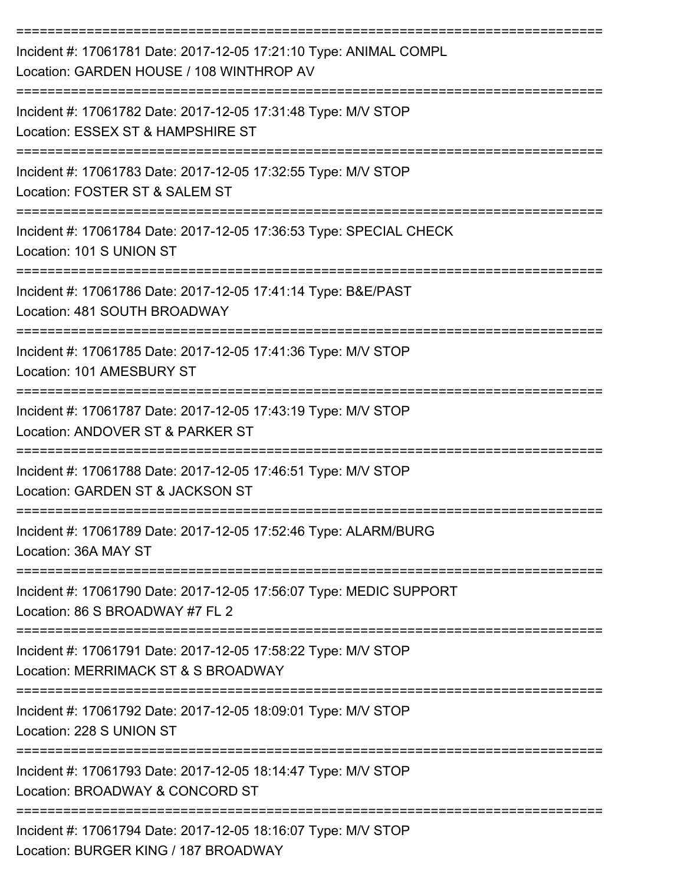| Incident #: 17061781 Date: 2017-12-05 17:21:10 Type: ANIMAL COMPL<br>Location: GARDEN HOUSE / 108 WINTHROP AV               |
|-----------------------------------------------------------------------------------------------------------------------------|
| Incident #: 17061782 Date: 2017-12-05 17:31:48 Type: M/V STOP<br>Location: ESSEX ST & HAMPSHIRE ST                          |
| Incident #: 17061783 Date: 2017-12-05 17:32:55 Type: M/V STOP<br>Location: FOSTER ST & SALEM ST                             |
| Incident #: 17061784 Date: 2017-12-05 17:36:53 Type: SPECIAL CHECK<br>Location: 101 S UNION ST                              |
| Incident #: 17061786 Date: 2017-12-05 17:41:14 Type: B&E/PAST<br>Location: 481 SOUTH BROADWAY                               |
| Incident #: 17061785 Date: 2017-12-05 17:41:36 Type: M/V STOP<br>Location: 101 AMESBURY ST                                  |
| Incident #: 17061787 Date: 2017-12-05 17:43:19 Type: M/V STOP<br>Location: ANDOVER ST & PARKER ST                           |
| Incident #: 17061788 Date: 2017-12-05 17:46:51 Type: M/V STOP<br>Location: GARDEN ST & JACKSON ST                           |
| Incident #: 17061789 Date: 2017-12-05 17:52:46 Type: ALARM/BURG<br>Location: 36A MAY ST                                     |
| Incident #: 17061790 Date: 2017-12-05 17:56:07 Type: MEDIC SUPPORT<br>Location: 86 S BROADWAY #7 FL 2                       |
| Incident #: 17061791 Date: 2017-12-05 17:58:22 Type: M/V STOP<br>Location: MERRIMACK ST & S BROADWAY                        |
| ------------------------------<br>Incident #: 17061792 Date: 2017-12-05 18:09:01 Type: M/V STOP<br>Location: 228 S UNION ST |
| Incident #: 17061793 Date: 2017-12-05 18:14:47 Type: M/V STOP<br>Location: BROADWAY & CONCORD ST                            |
| Incident #: 17061794 Date: 2017-12-05 18:16:07 Type: M/V STOP<br>Location: BURGER KING / 187 BROADWAY                       |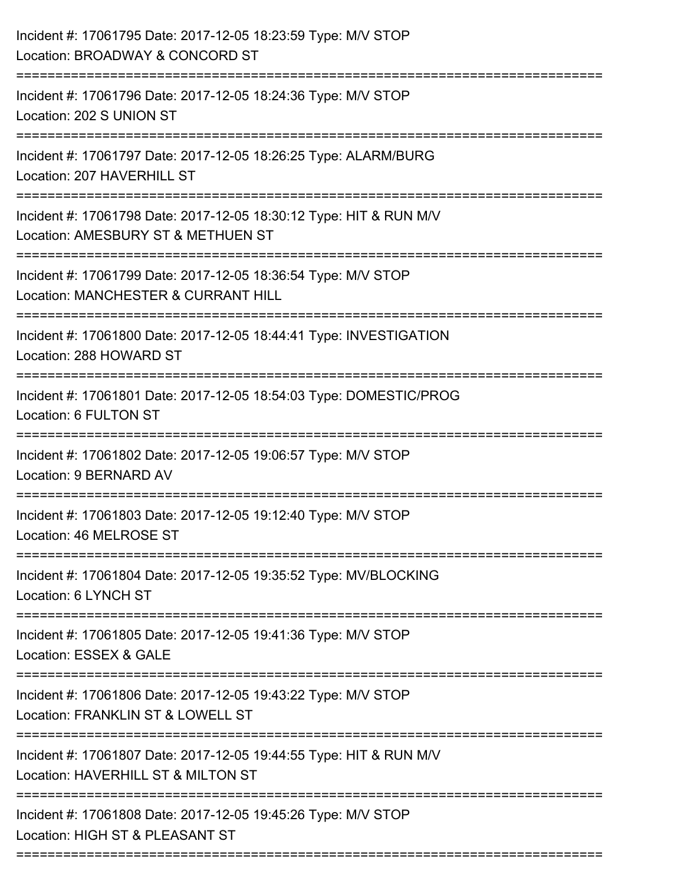| Incident #: 17061795 Date: 2017-12-05 18:23:59 Type: M/V STOP<br>Location: BROADWAY & CONCORD ST         |
|----------------------------------------------------------------------------------------------------------|
| Incident #: 17061796 Date: 2017-12-05 18:24:36 Type: M/V STOP<br>Location: 202 S UNION ST                |
| Incident #: 17061797 Date: 2017-12-05 18:26:25 Type: ALARM/BURG<br>Location: 207 HAVERHILL ST            |
| Incident #: 17061798 Date: 2017-12-05 18:30:12 Type: HIT & RUN M/V<br>Location: AMESBURY ST & METHUEN ST |
| Incident #: 17061799 Date: 2017-12-05 18:36:54 Type: M/V STOP<br>Location: MANCHESTER & CURRANT HILL     |
| Incident #: 17061800 Date: 2017-12-05 18:44:41 Type: INVESTIGATION<br>Location: 288 HOWARD ST            |
| Incident #: 17061801 Date: 2017-12-05 18:54:03 Type: DOMESTIC/PROG<br>Location: 6 FULTON ST              |
| Incident #: 17061802 Date: 2017-12-05 19:06:57 Type: M/V STOP<br>Location: 9 BERNARD AV                  |
| Incident #: 17061803 Date: 2017-12-05 19:12:40 Type: M/V STOP<br>Location: 46 MELROSE ST                 |
| Incident #: 17061804 Date: 2017-12-05 19:35:52 Type: MV/BLOCKING<br>Location: 6 LYNCH ST                 |
| Incident #: 17061805 Date: 2017-12-05 19:41:36 Type: M/V STOP<br>Location: ESSEX & GALE                  |
| Incident #: 17061806 Date: 2017-12-05 19:43:22 Type: M/V STOP<br>Location: FRANKLIN ST & LOWELL ST       |
| Incident #: 17061807 Date: 2017-12-05 19:44:55 Type: HIT & RUN M/V<br>Location: HAVERHILL ST & MILTON ST |
| Incident #: 17061808 Date: 2017-12-05 19:45:26 Type: M/V STOP<br>Location: HIGH ST & PLEASANT ST         |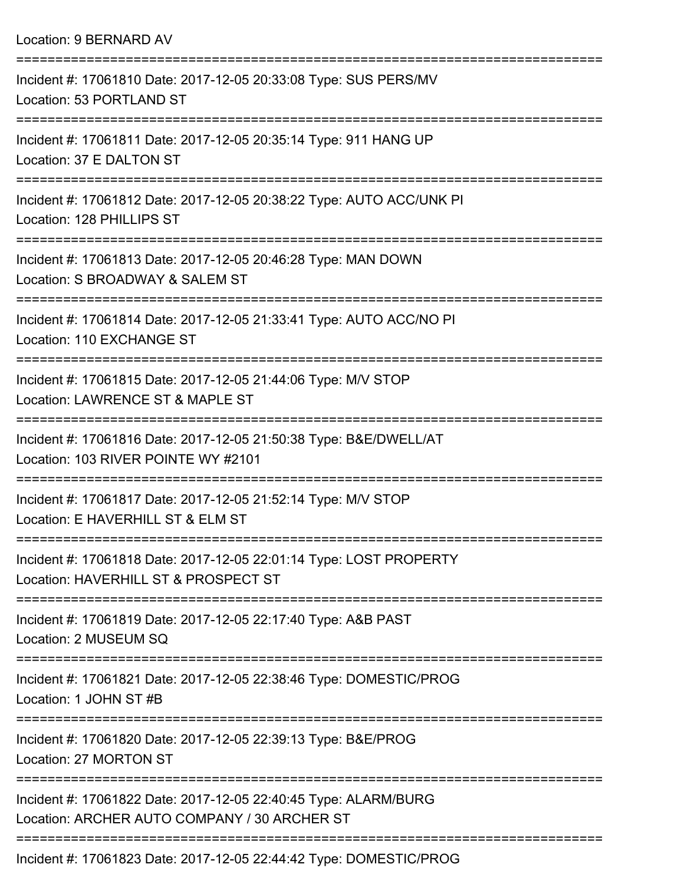| Location: 9 BERNARD AV                                                                                                              |
|-------------------------------------------------------------------------------------------------------------------------------------|
| Incident #: 17061810 Date: 2017-12-05 20:33:08 Type: SUS PERS/MV<br>Location: 53 PORTLAND ST                                        |
| Incident #: 17061811 Date: 2017-12-05 20:35:14 Type: 911 HANG UP<br>Location: 37 E DALTON ST                                        |
| Incident #: 17061812 Date: 2017-12-05 20:38:22 Type: AUTO ACC/UNK PI<br>Location: 128 PHILLIPS ST                                   |
| Incident #: 17061813 Date: 2017-12-05 20:46:28 Type: MAN DOWN<br>Location: S BROADWAY & SALEM ST<br> ================               |
| Incident #: 17061814 Date: 2017-12-05 21:33:41 Type: AUTO ACC/NO PI<br>Location: 110 EXCHANGE ST                                    |
| Incident #: 17061815 Date: 2017-12-05 21:44:06 Type: M/V STOP<br>Location: LAWRENCE ST & MAPLE ST                                   |
| Incident #: 17061816 Date: 2017-12-05 21:50:38 Type: B&E/DWELL/AT<br>Location: 103 RIVER POINTE WY #2101<br>----------------------- |
| Incident #: 17061817 Date: 2017-12-05 21:52:14 Type: M/V STOP<br>Location: E HAVERHILL ST & ELM ST                                  |
| Incident #: 17061818 Date: 2017-12-05 22:01:14 Type: LOST PROPERTY<br>Location: HAVERHILL ST & PROSPECT ST                          |
| Incident #: 17061819 Date: 2017-12-05 22:17:40 Type: A&B PAST<br>Location: 2 MUSEUM SQ                                              |
| Incident #: 17061821 Date: 2017-12-05 22:38:46 Type: DOMESTIC/PROG<br>Location: 1 JOHN ST #B                                        |
| Incident #: 17061820 Date: 2017-12-05 22:39:13 Type: B&E/PROG<br>Location: 27 MORTON ST                                             |
| Incident #: 17061822 Date: 2017-12-05 22:40:45 Type: ALARM/BURG<br>Location: ARCHER AUTO COMPANY / 30 ARCHER ST                     |
|                                                                                                                                     |

Incident #: 17061823 Date: 2017-12-05 22:44:42 Type: DOMESTIC/PROG